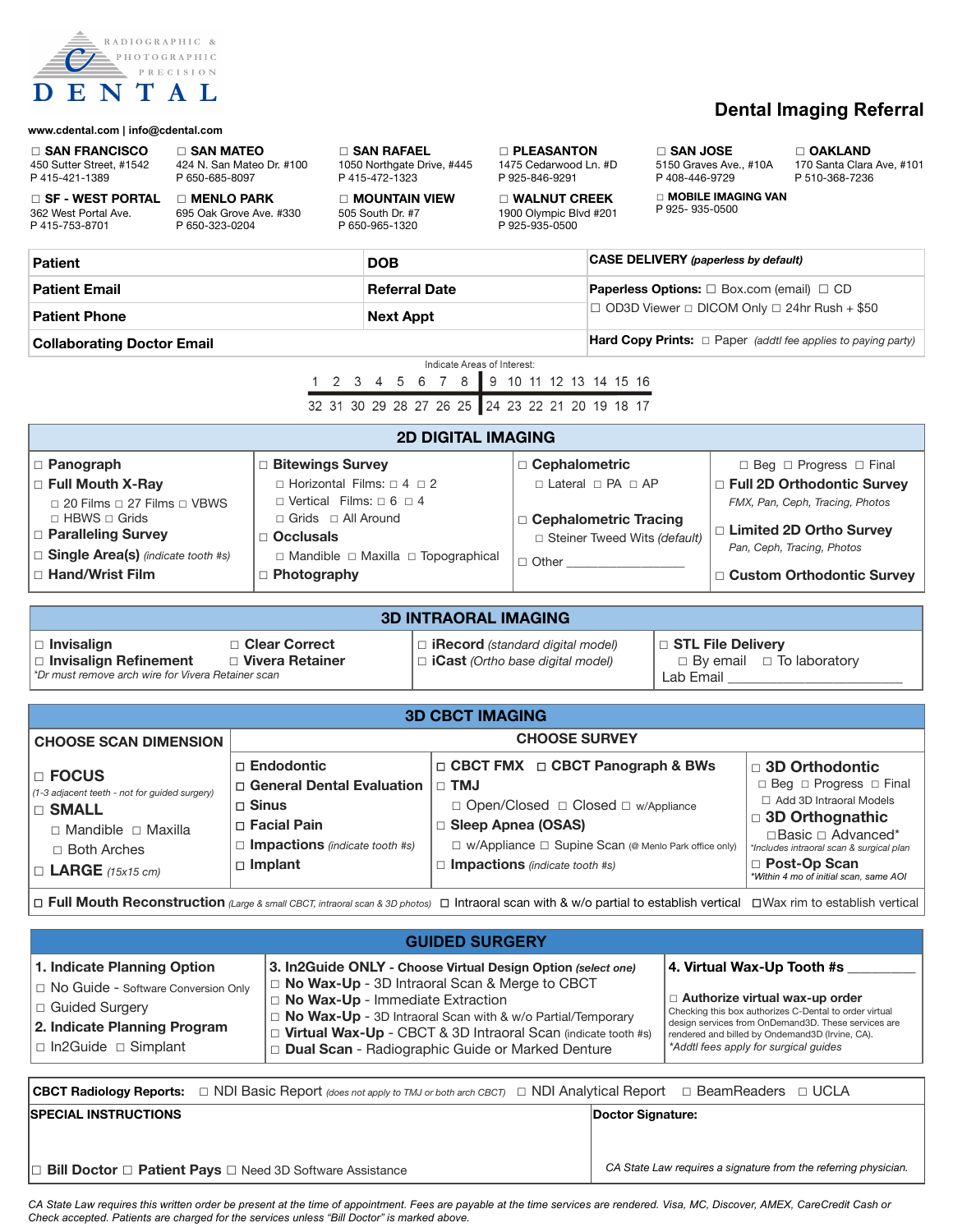

# **Dental Imaging Referral**

| www.cdental.com   info@cdental.com                                                                                                                                     |                                                                                                                                         |                                                                                                |                                                                                                                          |                                                                                                                                                                                                                                                                                                                                                          |  |                                                                |                                                                                                                                                                                                                                                                             |                                                                          |                                                                                                                                                                                                                                   |                                                          |
|------------------------------------------------------------------------------------------------------------------------------------------------------------------------|-----------------------------------------------------------------------------------------------------------------------------------------|------------------------------------------------------------------------------------------------|--------------------------------------------------------------------------------------------------------------------------|----------------------------------------------------------------------------------------------------------------------------------------------------------------------------------------------------------------------------------------------------------------------------------------------------------------------------------------------------------|--|----------------------------------------------------------------|-----------------------------------------------------------------------------------------------------------------------------------------------------------------------------------------------------------------------------------------------------------------------------|--------------------------------------------------------------------------|-----------------------------------------------------------------------------------------------------------------------------------------------------------------------------------------------------------------------------------|----------------------------------------------------------|
| $\square$ SAN FRANCISCO<br>450 Sutter Street, #1542<br>P415-421-1389                                                                                                   | $\Box$ SAN MATEO<br>424 N. San Mateo Dr. #100<br>P 650-685-8097                                                                         |                                                                                                | P415-472-1323                                                                                                            | $\Box$ SAN RAFAEL<br>1050 Northgate Drive, #445                                                                                                                                                                                                                                                                                                          |  | <b>D</b> PLEASANTON<br>1475 Cedarwood Ln. #D<br>P 925-846-9291 |                                                                                                                                                                                                                                                                             | $\sqcap$ SAN JOSE<br>5150 Graves Ave., #10A<br>P408-446-9729             |                                                                                                                                                                                                                                   | □ OAKLAND<br>170 Santa Clara Ave, #101<br>P 510-368-7236 |
| $\square$ SF - WEST PORTAL<br>362 West Portal Ave.<br>P415-753-8701                                                                                                    | $\Box$ MENLO PARK<br>695 Oak Grove Ave. #330<br>P 650-323-0204                                                                          |                                                                                                | 505 South Dr. #7<br>P 650-965-1320                                                                                       | □ MOUNTAIN VIEW<br>$\Box$ WALNUT CREEK<br>1900 Olympic Blvd #201<br>P 925-935-0500                                                                                                                                                                                                                                                                       |  |                                                                | □ MOBILE IMAGING VAN<br>P 925-935-0500                                                                                                                                                                                                                                      |                                                                          |                                                                                                                                                                                                                                   |                                                          |
| <b>Patient</b>                                                                                                                                                         |                                                                                                                                         |                                                                                                | <b>DOB</b>                                                                                                               |                                                                                                                                                                                                                                                                                                                                                          |  |                                                                | <b>CASE DELIVERY</b> (paperless by default)                                                                                                                                                                                                                                 |                                                                          |                                                                                                                                                                                                                                   |                                                          |
| <b>Patient Email</b>                                                                                                                                                   |                                                                                                                                         |                                                                                                |                                                                                                                          | <b>Referral Date</b>                                                                                                                                                                                                                                                                                                                                     |  |                                                                | <b>Paperless Options:</b> □ Box.com (email) □ CD                                                                                                                                                                                                                            |                                                                          |                                                                                                                                                                                                                                   |                                                          |
| <b>Patient Phone</b>                                                                                                                                                   |                                                                                                                                         |                                                                                                |                                                                                                                          | <b>Next Appt</b>                                                                                                                                                                                                                                                                                                                                         |  |                                                                | $\Box$ OD3D Viewer $\Box$ DICOM Only $\Box$ 24hr Rush + \$50                                                                                                                                                                                                                |                                                                          |                                                                                                                                                                                                                                   |                                                          |
| <b>Collaborating Doctor Email</b>                                                                                                                                      |                                                                                                                                         |                                                                                                |                                                                                                                          |                                                                                                                                                                                                                                                                                                                                                          |  |                                                                | <b>Hard Copy Prints:</b> $\Box$ Paper (addtl fee applies to paying party)                                                                                                                                                                                                   |                                                                          |                                                                                                                                                                                                                                   |                                                          |
| Indicate Areas of Interest:<br>1 2 3 4 5 6 7 8 9 10 11 12 13 14 15 16<br>32 31 30 29 28 27 26 25 24 23 22 21 20 19 18 17                                               |                                                                                                                                         |                                                                                                |                                                                                                                          |                                                                                                                                                                                                                                                                                                                                                          |  |                                                                |                                                                                                                                                                                                                                                                             |                                                                          |                                                                                                                                                                                                                                   |                                                          |
| <b>2D DIGITAL IMAGING</b>                                                                                                                                              |                                                                                                                                         |                                                                                                |                                                                                                                          |                                                                                                                                                                                                                                                                                                                                                          |  |                                                                |                                                                                                                                                                                                                                                                             |                                                                          |                                                                                                                                                                                                                                   |                                                          |
| □ Panograph<br>□ Bitewings Survey<br>□ Cephalometric                                                                                                                   |                                                                                                                                         |                                                                                                |                                                                                                                          |                                                                                                                                                                                                                                                                                                                                                          |  |                                                                |                                                                                                                                                                                                                                                                             |                                                                          | $\Box$ Beg $\Box$ Progress $\Box$ Final                                                                                                                                                                                           |                                                          |
| □ Full Mouth X-Ray<br>□ 20 Films □ 27 Films □ VBWS<br>$\Box$ HBWS $\Box$ Grids                                                                                         |                                                                                                                                         |                                                                                                | $\Box$ Horizontal Films: $\Box$ 4 $\Box$ 2<br>$\Box$ Vertical Films: $\Box$ 6 $\Box$ 4<br>$\Box$ Grids $\Box$ All Around |                                                                                                                                                                                                                                                                                                                                                          |  | □ Cephalometric Tracing                                        | $\Box$ Lateral $\Box$ PA $\Box$ AP                                                                                                                                                                                                                                          |                                                                          | □ Full 2D Orthodontic Survey<br>FMX, Pan, Ceph, Tracing, Photos                                                                                                                                                                   |                                                          |
| □ Paralleling Survey<br>$\Box$ Occlusals<br>□ Single Area(s) (indicate tooth #s)                                                                                       |                                                                                                                                         |                                                                                                |                                                                                                                          | $\Box$ Mandible $\Box$ Maxilla $\Box$ Topographical                                                                                                                                                                                                                                                                                                      |  | Steiner Tweed Wits (default)<br>$\Box$ Other                   |                                                                                                                                                                                                                                                                             |                                                                          | □ Limited 2D Ortho Survey<br>Pan, Ceph, Tracing, Photos                                                                                                                                                                           |                                                          |
| □ Hand/Wrist Film                                                                                                                                                      |                                                                                                                                         | $\Box$ Photography                                                                             |                                                                                                                          |                                                                                                                                                                                                                                                                                                                                                          |  |                                                                |                                                                                                                                                                                                                                                                             | □ Custom Orthodontic Survey                                              |                                                                                                                                                                                                                                   |                                                          |
|                                                                                                                                                                        |                                                                                                                                         |                                                                                                |                                                                                                                          | <b>3D INTRAORAL IMAGING</b>                                                                                                                                                                                                                                                                                                                              |  |                                                                |                                                                                                                                                                                                                                                                             |                                                                          |                                                                                                                                                                                                                                   |                                                          |
| □ Clear Correct<br>□ Invisalign<br>□ Vivera Retainer<br>□ Invisalign Refinement<br>*Dr must remove arch wire for Vivera Retainer scan                                  |                                                                                                                                         |                                                                                                |                                                                                                                          | $\Box$ <b>iRecord</b> (standard digital model)<br>$\Box$ iCast (Ortho base digital model)                                                                                                                                                                                                                                                                |  |                                                                |                                                                                                                                                                                                                                                                             | □ STL File Delivery<br>$\Box$ By email $\Box$ To laboratory<br>Lab Email |                                                                                                                                                                                                                                   |                                                          |
|                                                                                                                                                                        |                                                                                                                                         |                                                                                                |                                                                                                                          | <b>3D CBCT IMAGING</b>                                                                                                                                                                                                                                                                                                                                   |  |                                                                |                                                                                                                                                                                                                                                                             |                                                                          |                                                                                                                                                                                                                                   |                                                          |
|                                                                                                                                                                        | <b>CHOOSE SURVEY</b><br><b>CHOOSE SCAN DIMENSION</b>                                                                                    |                                                                                                |                                                                                                                          |                                                                                                                                                                                                                                                                                                                                                          |  |                                                                |                                                                                                                                                                                                                                                                             |                                                                          |                                                                                                                                                                                                                                   |                                                          |
| □ FOCUS<br>(1-3 adjacent teeth - not for guided surgery)<br>□ SMALL<br>□ Mandible □ Maxilla<br>□ Both Arches<br>$\Box$ LARGE (15x15 cm)                                | $\Box$ Endodontic<br>□ General Dental Evaluation<br>□ Sinus<br>□ Facial Pain<br>$\Box$ Impactions (indicate tooth #s)<br>$\Box$ Implant |                                                                                                |                                                                                                                          | □ CBCT FMX □ CBCT Panograph & BWs<br>$\Box$ TMJ<br>□ Open/Closed □ Closed □ w/Appliance<br>□ Sleep Apnea (OSAS)<br>□ w/Appliance □ Supine Scan (@ Menlo Park office only)<br>$\Box$ Impactions (indicate tooth #s)                                                                                                                                       |  |                                                                |                                                                                                                                                                                                                                                                             |                                                                          | $\Box$ 3D Orthodontic<br>□ Beg □ Progress □ Final<br>□ Add 3D Intraoral Models<br>□ 3D Orthognathic<br>□Basic □ Advanced*<br>*Includes intraoral scan & surgical plan<br>□ Post-Op Scan<br>*Within 4 mo of initial scan, same AOI |                                                          |
| □ Full Mouth Reconstruction (Large & small CBCT, intraoral scan & 3D photos) □ Intraoral scan with & w/o partial to establish vertical □ Wax rim to establish vertical |                                                                                                                                         |                                                                                                |                                                                                                                          |                                                                                                                                                                                                                                                                                                                                                          |  |                                                                |                                                                                                                                                                                                                                                                             |                                                                          |                                                                                                                                                                                                                                   |                                                          |
|                                                                                                                                                                        |                                                                                                                                         |                                                                                                |                                                                                                                          | <b>GUIDED SURGERY</b>                                                                                                                                                                                                                                                                                                                                    |  |                                                                |                                                                                                                                                                                                                                                                             |                                                                          |                                                                                                                                                                                                                                   |                                                          |
| 1. Indicate Planning Option<br>□ No Guide - Software Conversion Only<br>□ Guided Surgery<br>2. Indicate Planning Program<br>□ In2Guide □ Simplant                      |                                                                                                                                         |                                                                                                |                                                                                                                          | 3. In2Guide ONLY - Choose Virtual Design Option (select one)<br>$\Box$ No Wax-Up - 3D Intraoral Scan & Merge to CBCT<br>$\Box$ No Wax-Up - Immediate Extraction<br>□ No Wax-Up - 3D Intraoral Scan with & w/o Partial/Temporary<br>□ Virtual Wax-Up - CBCT & 3D Intraoral Scan (indicate tooth #s)<br>□ Dual Scan - Radiographic Guide or Marked Denture |  |                                                                | 4. Virtual Wax-Up Tooth #s<br>□ Authorize virtual wax-up order<br>Checking this box authorizes C-Dental to order virtual<br>design services from OnDemand3D. These services are<br>rendered and billed by Ondemand3D (Irvine, CA).<br>*Addtl fees apply for surgical guides |                                                                          |                                                                                                                                                                                                                                   |                                                          |
| <b>CBCT Radiology Reports:</b>                                                                                                                                         |                                                                                                                                         | $\Box$ NDI Basic Report (does not apply to TMJ or both arch CBCT) $\Box$ NDI Analytical Report |                                                                                                                          |                                                                                                                                                                                                                                                                                                                                                          |  |                                                                |                                                                                                                                                                                                                                                                             |                                                                          | □ BeamReaders □ UCLA                                                                                                                                                                                                              |                                                          |
| <b>SPECIAL INSTRUCTIONS</b>                                                                                                                                            |                                                                                                                                         |                                                                                                |                                                                                                                          |                                                                                                                                                                                                                                                                                                                                                          |  |                                                                | Doctor Signature:                                                                                                                                                                                                                                                           |                                                                          |                                                                                                                                                                                                                                   |                                                          |
| □ Bill Doctor □ Patient Pays □ Need 3D Software Assistance                                                                                                             |                                                                                                                                         |                                                                                                |                                                                                                                          |                                                                                                                                                                                                                                                                                                                                                          |  |                                                                | CA State Law requires a signature from the referring physician.                                                                                                                                                                                                             |                                                                          |                                                                                                                                                                                                                                   |                                                          |

 *CA State Law requires this written order be present at the time of appointment. Fees are payable at the time services are rendered. Visa, MC, Discover, AMEX, CareCredit Cash or Check accepted. Patients are charged for the services unless "Bill Doctor" is marked above.*